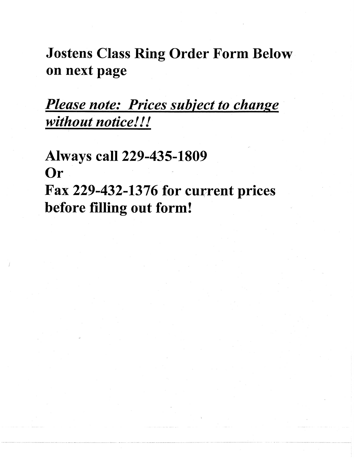**Jostens Class Ring Order Form Below** on next page

Please note: Prices subject to change without notice!!!

**Always call 229-435-1809** Or Fax 229-432-1376 for current prices before filling out form!